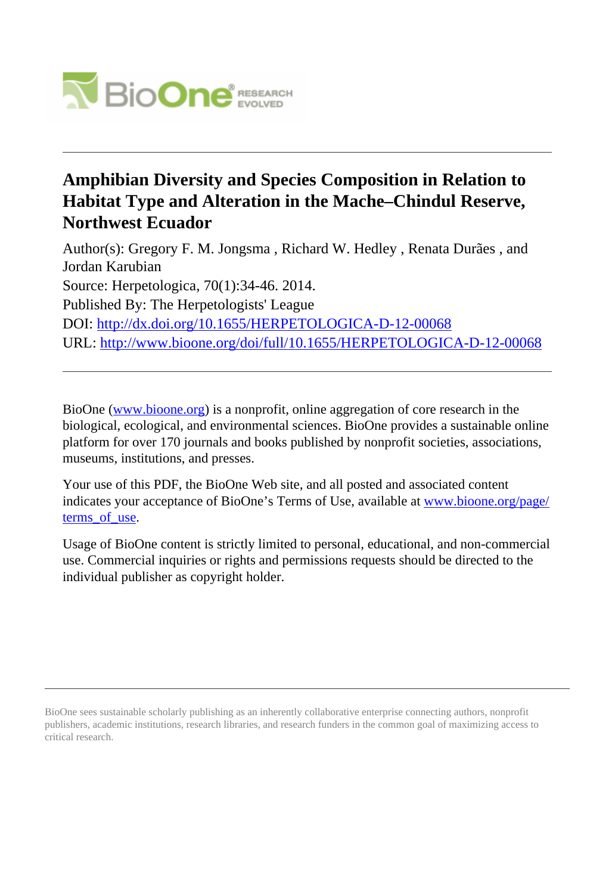

# **Amphibian Diversity and Species Composition in Relation to Habitat Type and Alteration in the Mache–Chindul Reserve, Northwest Ecuador**

Author(s): Gregory F. M. Jongsma , Richard W. Hedley , Renata Durães , and Jordan Karubian Source: Herpetologica, 70(1):34-46. 2014. Published By: The Herpetologists' League DOI:<http://dx.doi.org/10.1655/HERPETOLOGICA-D-12-00068> URL: <http://www.bioone.org/doi/full/10.1655/HERPETOLOGICA-D-12-00068>

BioOne [\(www.bioone.org\)](http://www.bioone.org) is a nonprofit, online aggregation of core research in the biological, ecological, and environmental sciences. BioOne provides a sustainable online platform for over 170 journals and books published by nonprofit societies, associations, museums, institutions, and presses.

Your use of this PDF, the BioOne Web site, and all posted and associated content indicates your acceptance of BioOne's Terms of Use, available at [www.bioone.org/page/](http://www.bioone.org/page/terms_of_use) terms of use.

Usage of BioOne content is strictly limited to personal, educational, and non-commercial use. Commercial inquiries or rights and permissions requests should be directed to the individual publisher as copyright holder.

BioOne sees sustainable scholarly publishing as an inherently collaborative enterprise connecting authors, nonprofit publishers, academic institutions, research libraries, and research funders in the common goal of maximizing access to critical research.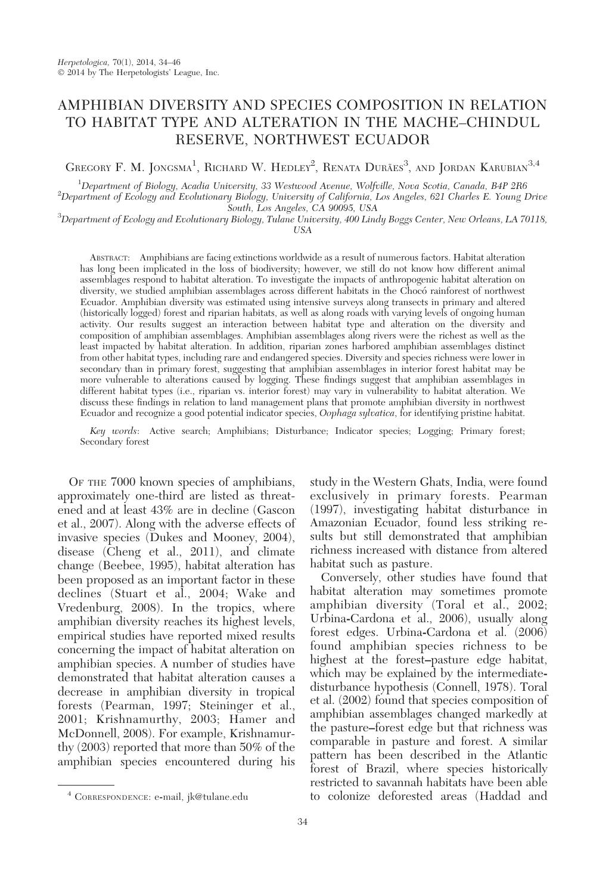## AMPHIBIAN DIVERSITY AND SPECIES COMPOSITION IN RELATION TO HABITAT TYPE AND ALTERATION IN THE MACHE–CHINDUL RESERVE, NORTHWEST ECUADOR

GREGORY F. M. JONGSMA<sup>1</sup>, RICHARD W. HEDLEY<sup>2</sup>, RENATA DURÃES<sup>3</sup>, AND JORDAN KARUBIAN<sup>3,4</sup>

<sup>1</sup>Department of Biology, Acadia University, 33 Westwood Avenue, Wolfville, Nova Scotia, Canada, B4P 2R6<br><sup>2</sup>Department of Ecology and Evolutionary Biology, University of California, Lee Angelee, 621 Charles E. Young 1

 $\overset{2}{\sim}$ Department of Ecology and Evolutionary Biology, University of California, Los Angeles, 621 Charles E. Young Drive South, Los Angeles, CA 90095, USA

South, Los Angeles, CA 90095, USA<br>3Department of Ecology and Evolutionary Biology, Tulane University, 400 Lindy Boggs Center, New Orleans, LA 70118,

USA

ABSTRACT: Amphibians are facing extinctions worldwide as a result of numerous factors. Habitat alteration has long been implicated in the loss of biodiversity; however, we still do not know how different animal assemblages respond to habitat alteration. To investigate the impacts of anthropogenic habitat alteration on diversity, we studied amphibian assemblages across different habitats in the Choco´ rainforest of northwest Ecuador. Amphibian diversity was estimated using intensive surveys along transects in primary and altered (historically logged) forest and riparian habitats, as well as along roads with varying levels of ongoing human activity. Our results suggest an interaction between habitat type and alteration on the diversity and composition of amphibian assemblages. Amphibian assemblages along rivers were the richest as well as the least impacted by habitat alteration. In addition, riparian zones harbored amphibian assemblages distinct from other habitat types, including rare and endangered species. Diversity and species richness were lower in secondary than in primary forest, suggesting that amphibian assemblages in interior forest habitat may be more vulnerable to alterations caused by logging. These findings suggest that amphibian assemblages in different habitat types (i.e., riparian vs. interior forest) may vary in vulnerability to habitat alteration. We discuss these findings in relation to land management plans that promote amphibian diversity in northwest Ecuador and recognize a good potential indicator species, *Oophaga sylvatica*, for identifying pristine habitat.

Key words: Active search; Amphibians; Disturbance; Indicator species; Logging; Primary forest; Secondary forest

OF THE 7000 known species of amphibians, approximately one-third are listed as threatened and at least 43% are in decline (Gascon et al., 2007). Along with the adverse effects of invasive species (Dukes and Mooney, 2004), disease (Cheng et al., 2011), and climate change (Beebee, 1995), habitat alteration has been proposed as an important factor in these declines (Stuart et al., 2004; Wake and Vredenburg, 2008). In the tropics, where amphibian diversity reaches its highest levels, empirical studies have reported mixed results concerning the impact of habitat alteration on amphibian species. A number of studies have demonstrated that habitat alteration causes a decrease in amphibian diversity in tropical forests (Pearman, 1997; Steininger et al., 2001; Krishnamurthy, 2003; Hamer and McDonnell, 2008). For example, Krishnamurthy (2003) reported that more than 50% of the amphibian species encountered during his

Conversely, other studies have found that habitat alteration may sometimes promote amphibian diversity (Toral et al., 2002; Urbina-Cardona et al., 2006), usually along forest edges. Urbina-Cardona et al. (2006) found amphibian species richness to be highest at the forest–pasture edge habitat, which may be explained by the intermediatedisturbance hypothesis (Connell, 1978). Toral et al. (2002) found that species composition of amphibian assemblages changed markedly at the pasture–forest edge but that richness was comparable in pasture and forest. A similar pattern has been described in the Atlantic forest of Brazil, where species historically restricted to savannah habitats have been able to colonize deforested areas (Haddad and <sup>4</sup> CORRESPONDENCE: e-mail, jk@tulane.edu

study in the Western Ghats, India, were found exclusively in primary forests. Pearman (1997), investigating habitat disturbance in Amazonian Ecuador, found less striking results but still demonstrated that amphibian richness increased with distance from altered habitat such as pasture.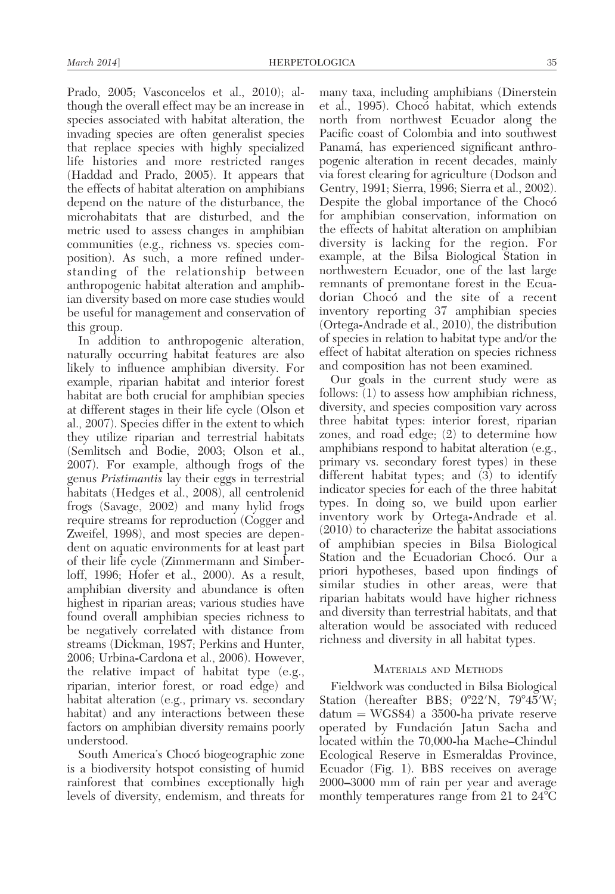Prado, 2005; Vasconcelos et al., 2010); although the overall effect may be an increase in species associated with habitat alteration, the invading species are often generalist species that replace species with highly specialized life histories and more restricted ranges (Haddad and Prado, 2005). It appears that the effects of habitat alteration on amphibians depend on the nature of the disturbance, the microhabitats that are disturbed, and the metric used to assess changes in amphibian communities (e.g., richness vs. species composition). As such, a more refined understanding of the relationship between anthropogenic habitat alteration and amphibian diversity based on more case studies would be useful for management and conservation of this group.

In addition to anthropogenic alteration, naturally occurring habitat features are also likely to influence amphibian diversity. For example, riparian habitat and interior forest habitat are both crucial for amphibian species at different stages in their life cycle (Olson et al., 2007). Species differ in the extent to which they utilize riparian and terrestrial habitats (Semlitsch and Bodie, 2003; Olson et al., 2007). For example, although frogs of the genus Pristimantis lay their eggs in terrestrial habitats (Hedges et al., 2008), all centrolenid frogs (Savage, 2002) and many hylid frogs require streams for reproduction (Cogger and Zweifel, 1998), and most species are dependent on aquatic environments for at least part of their life cycle (Zimmermann and Simberloff, 1996; Hofer et al., 2000). As a result, amphibian diversity and abundance is often highest in riparian areas; various studies have found overall amphibian species richness to be negatively correlated with distance from streams (Dickman, 1987; Perkins and Hunter, 2006; Urbina-Cardona et al., 2006). However, the relative impact of habitat type (e.g., riparian, interior forest, or road edge) and habitat alteration (e.g., primary vs. secondary habitat) and any interactions between these factors on amphibian diversity remains poorly understood.

South America's Chocó biogeographic zone is a biodiversity hotspot consisting of humid rainforest that combines exceptionally high levels of diversity, endemism, and threats for

many taxa, including amphibians (Dinerstein et al., 1995). Choco habitat, which extends north from northwest Ecuador along the Pacific coast of Colombia and into southwest Panamá, has experienced significant anthropogenic alteration in recent decades, mainly via forest clearing for agriculture (Dodson and Gentry, 1991; Sierra, 1996; Sierra et al., 2002). Despite the global importance of the Choco^ for amphibian conservation, information on the effects of habitat alteration on amphibian diversity is lacking for the region. For example, at the Bilsa Biological Station in northwestern Ecuador, one of the last large remnants of premontane forest in the Ecuadorian Chocó and the site of a recent inventory reporting 37 amphibian species (Ortega-Andrade et al., 2010), the distribution of species in relation to habitat type and/or the effect of habitat alteration on species richness and composition has not been examined.

Our goals in the current study were as follows: (1) to assess how amphibian richness, diversity, and species composition vary across three habitat types: interior forest, riparian zones, and road edge; (2) to determine how amphibians respond to habitat alteration (e.g., primary vs. secondary forest types) in these different habitat types; and (3) to identify indicator species for each of the three habitat types. In doing so, we build upon earlier inventory work by Ortega-Andrade et al. (2010) to characterize the habitat associations of amphibian species in Bilsa Biological Station and the Ecuadorian Chocó. Our a priori hypotheses, based upon findings of similar studies in other areas, were that riparian habitats would have higher richness and diversity than terrestrial habitats, and that alteration would be associated with reduced richness and diversity in all habitat types.

#### MATERIALS AND METHODS

Fieldwork was conducted in Bilsa Biological Station (hereafter BBS; 0°22′N, 79°45′W;  $\text{datum} = \text{WGS84}$  a 3500-ha private reserve operated by Fundación Jatun Sacha and located within the 70,000-ha Mache–Chindul Ecological Reserve in Esmeraldas Province, Ecuador (Fig. 1). BBS receives on average 2000–3000 mm of rain per year and average monthly temperatures range from 21 to  $24^{\circ}$ C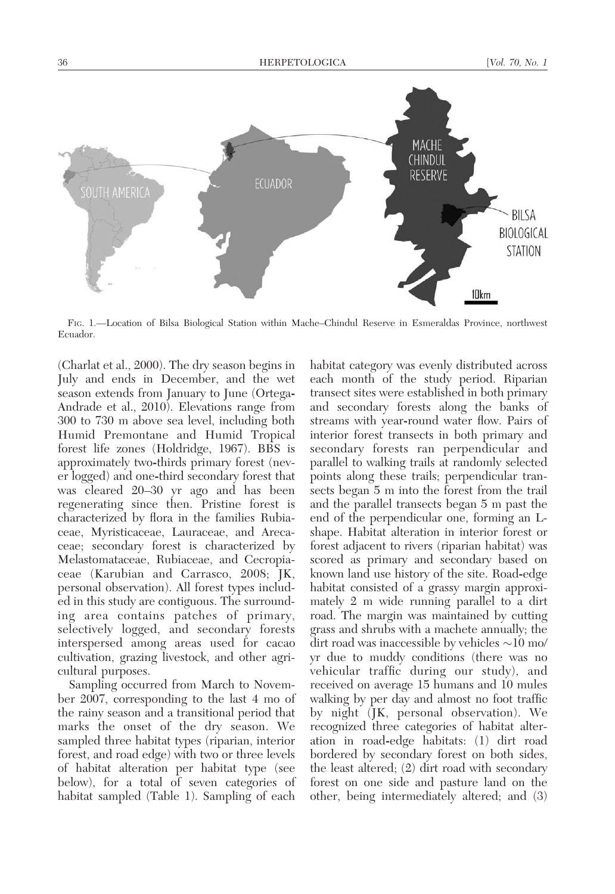36 **HERPETOLOGICA** [Vol. 70, No. 1 MACHE **CHINDUL RESERVE ECUADOR SOUTH AMERICA** BILSA BIOLOGICAL **STATION** 10km

FIG. 1.—Location of Bilsa Biological Station within Mache–Chindul Reserve in Esmeraldas Province, northwest Ecuador.

(Charlat et al., 2000). The dry season begins in July and ends in December, and the wet season extends from January to June (Ortega-Andrade et al., 2010). Elevations range from 300 to 730 m above sea level, including both Humid Premontane and Humid Tropical forest life zones (Holdridge, 1967). BBS is approximately two-thirds primary forest (never logged) and one-third secondary forest that was cleared 20–30 yr ago and has been regenerating since then. Pristine forest is characterized by flora in the families Rubiaceae, Myristicaceae, Lauraceae, and Arecaceae; secondary forest is characterized by Melastomataceae, Rubiaceae, and Cecropiaceae (Karubian and Carrasco, 2008; JK, personal observation). All forest types included in this study are contiguous. The surrounding area contains patches of primary, selectively logged, and secondary forests interspersed among areas used for cacao cultivation, grazing livestock, and other agricultural purposes.

Sampling occurred from March to November 2007, corresponding to the last 4 mo of the rainy season and a transitional period that marks the onset of the dry season. We sampled three habitat types (riparian, interior forest, and road edge) with two or three levels of habitat alteration per habitat type (see below), for a total of seven categories of habitat sampled (Table 1). Sampling of each

habitat category was evenly distributed across each month of the study period. Riparian transect sites were established in both primary and secondary forests along the banks of streams with year-round water flow. Pairs of interior forest transects in both primary and secondary forests ran perpendicular and parallel to walking trails at randomly selected points along these trails; perpendicular transects began 5 m into the forest from the trail and the parallel transects began 5 m past the end of the perpendicular one, forming an Lshape. Habitat alteration in interior forest or forest adjacent to rivers (riparian habitat) was scored as primary and secondary based on known land use history of the site. Road-edge habitat consisted of a grassy margin approximately 2 m wide running parallel to a dirt road. The margin was maintained by cutting grass and shrubs with a machete annually; the dirt road was inaccessible by vehicles  ${\sim}10$  mo/ yr due to muddy conditions (there was no vehicular traffic during our study), and received on average 15 humans and 10 mules walking by per day and almost no foot traffic by night (JK, personal observation). We recognized three categories of habitat alteration in road-edge habitats: (1) dirt road bordered by secondary forest on both sides, the least altered; (2) dirt road with secondary forest on one side and pasture land on the other, being intermediately altered; and (3)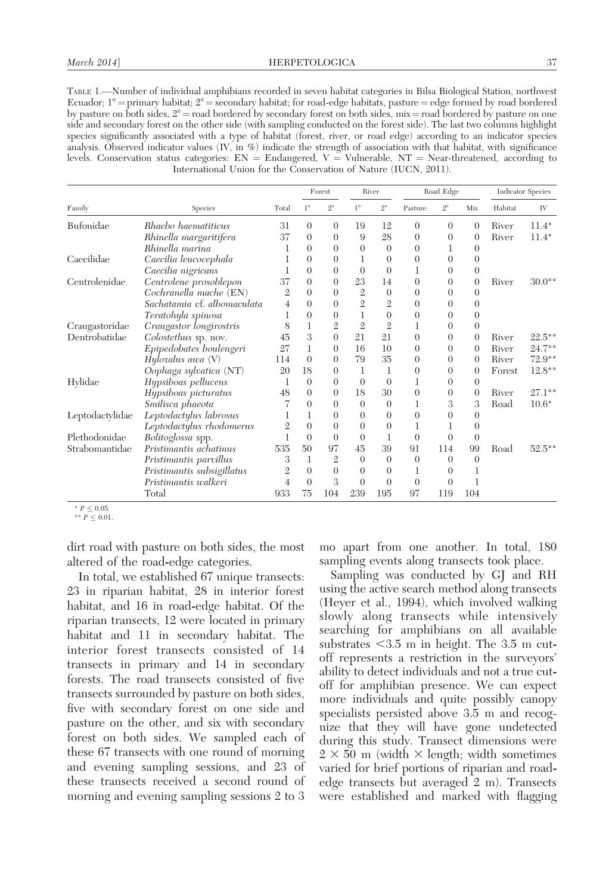TABLE 1.—Number of individual amphibians recorded in seven habitat categories in Bilsa Biological Station, northwest Ecuador;  $1^\circ$  = primary habitat;  $2^\circ$  = secondary habitat; for road-edge habitats, pasture = edge formed by road bordered by pasture on both sides,  $2^{\circ}$  = road bordered by secondary forest on both sides, mix = road bordered by pasture on one side and secondary forest on the other side (with sampling conducted on the forest side). The last two columns highlight species significantly associated with a type of habitat (forest, river, or road edge) according to an indicator species analysis. Observed indicator values (IV, in %) indicate the strength of association with that habitat, with significance levels. Conservation status categories:  $EN =$  Endangered,  $V =$  Vulnerable, NT = Near-threatened, according to International Union for the Conservation of Nature (IUCN, 2011).

|                 |                             | Total          | Forest      |                | River          |                | Road Edge        |                |                  | <b>Indicator Species</b> |                      |
|-----------------|-----------------------------|----------------|-------------|----------------|----------------|----------------|------------------|----------------|------------------|--------------------------|----------------------|
| Family          | Species                     |                | $1^{\circ}$ | $2^{\circ}$    | $1^{\circ}$    | $2^{\circ}$    | Pasture          | $2^{\circ}$    | Mix              | Habitat                  | IV                   |
| Bufonidae       | Rhaebo haematiticus         | 31             | $\Omega$    | $\theta$       | 19             | 12             | $\overline{0}$   | $\theta$       | $\theta$         | River                    | $11.4^{\circ}$       |
|                 | Rhinella margaritifera      | 37             | $\Omega$    | $\theta$       | 9              | 28             | $\theta$         | $\theta$       | $\theta$         | River                    | $11.4^{\circ}$       |
|                 | Rhinella marina             |                | $\Omega$    | $\Omega$       | $\Omega$       | $\theta$       | $\theta$         |                | $\Omega$         |                          |                      |
| Caecilidae      | Caecilia leucocephala       |                | $\Omega$    | $\Omega$       | 1              | $\Omega$       | $\overline{0}$   | $\theta$       | $\theta$         |                          |                      |
|                 | Caecilia nigricans          |                | $\Omega$    | $\Omega$       | $\theta$       | $\Omega$       | 1                | $\Omega$       | $\theta$         |                          |                      |
| Centrolenidae   | Centrolene prosoblepon      |                | $\Omega$    | $\Omega$       | 23             | 14             | $\theta$         | $\Omega$       | $\theta$         | River                    | $30.0$ <sup>**</sup> |
|                 | Cochranella mache (EN)      |                | $\Omega$    | $\Omega$       | $\overline{2}$ | $\overline{0}$ | $\theta$         | $\theta$       | $\theta$         |                          |                      |
|                 | Sachatamia cf. albomaculata |                | $\Omega$    | $\Omega$       | $\overline{2}$ | $\overline{2}$ | $\theta$         | $\Omega$       | $\Omega$         |                          |                      |
|                 | Teratohyla spinosa          |                | $\Omega$    | 0              | 1              | $\theta$       | $\overline{0}$   | $\Omega$       | $\theta$         |                          |                      |
| Craugastoridae  | Craugastor longirostris     | 8              |             | $\overline{2}$ | $\overline{2}$ | $\overline{2}$ | 1                | $\theta$       | $\theta$         |                          |                      |
| Dentrobatidae   | Colostethus sp. nov.        | 45             | 3           | $\theta$       | 21             | 21             | $\theta$         | $\Omega$       | $\overline{0}$   | River                    | $22.5^{\circ}$       |
|                 | Epipedobates boulengeri     | 27             | 1           | $\Omega$       | 16             | 10             | $\theta$         | $\Omega$       | $\theta$         | River                    | $24.7$ **            |
|                 | Hyloxalus awa $(V)$         | 114            | $\Omega$    | $\Omega$       | 79             | 35             | $\theta$         | $\Omega$       | $\theta$         | River                    | $72.9$ **            |
|                 | Oophaga sylvatica (NT)      | 20             | 18          | $\Omega$       | 1              | 1              | $\boldsymbol{0}$ | $\theta$       | $\boldsymbol{0}$ | Forest                   | $12.8^{\circ}$       |
| Hylidae         | Hypsiboas pellucens         |                | $\theta$    | $\Omega$       | $\theta$       | $\theta$       | 1                | $\theta$       | $\theta$         |                          |                      |
|                 | Hypsiboas picturatus        | 48             | $\Omega$    | $\Omega$       | 18             | 30             | $\theta$         | $\Omega$       | $\theta$         | River                    | $27.1$ **            |
|                 | Smilisca phaeota            |                | $\Omega$    | $\Omega$       | $\Omega$       | $\theta$       | 1                | 3              | 3                | Road                     | $10.6^{\circ}$       |
| Leptodactylidae | Leptodactylus labrosus      |                |             | $\Omega$       | $\Omega$       | $\Omega$       | $\theta$         | $\Omega$       | $\Omega$         |                          |                      |
|                 | Leptodactylus rhodomerus    |                | $\Omega$    | $\theta$       | $\Omega$       | $\Omega$       | 1                | 1              | $\theta$         |                          |                      |
| Plethodonidae   | Bolitoglossa spp.           |                | $\Omega$    | $\Omega$       | $\Omega$       | 1              | $\theta$         | $\overline{0}$ | $\theta$         |                          |                      |
| Strabomantidae  | Pristimantis achatinus      | 535            | 50          | 97             | 45             | 39             | 91               | 114            | 99               | Road                     | $52.5^{\circ}$       |
|                 | Pristimantis parvillus      | 3              |             | $\overline{2}$ | $\Omega$       | $\Omega$       | $\overline{0}$   | $\Omega$       | $\Omega$         |                          |                      |
|                 | Pristimantis subsigillatus  | $\overline{2}$ | $\Omega$    | $\theta$       | $\Omega$       | $\Omega$       | 1                | $\theta$       | 1                |                          |                      |
|                 | Pristimantis walkeri        | 4              | $\Omega$    | 3              | $\Omega$       | $\Omega$       | $\theta$         | $\overline{0}$ | 1                |                          |                      |
|                 | Total                       | 933            | 75          | 104            | 239            | 195            | 97               | 119            | 104              |                          |                      |

 $\degree$   $P \leq 0.05$ . \*\*  $P \leq 0.01$ .

dirt road with pasture on both sides, the most altered of the road-edge categories.

In total, we established 67 unique transects: 23 in riparian habitat, 28 in interior forest habitat, and 16 in road-edge habitat. Of the riparian transects, 12 were located in primary habitat and 11 in secondary habitat. The interior forest transects consisted of 14 transects in primary and 14 in secondary forests. The road transects consisted of five transects surrounded by pasture on both sides, five with secondary forest on one side and pasture on the other, and six with secondary forest on both sides. We sampled each of these 67 transects with one round of morning and evening sampling sessions, and 23 of these transects received a second round of morning and evening sampling sessions 2 to 3 mo apart from one another. In total, 180 sampling events along transects took place.

Sampling was conducted by GJ and RH using the active search method along transects (Heyer et al., 1994), which involved walking slowly along transects while intensively searching for amphibians on all available substrates  $<$ 3.5 m in height. The 3.5 m cutoff represents a restriction in the surveyors' ability to detect individuals and not a true cutoff for amphibian presence. We can expect more individuals and quite possibly canopy specialists persisted above 3.5 m and recognize that they will have gone undetected during this study. Transect dimensions were  $2 \times 50$  m (width  $\times$  length; width sometimes varied for brief portions of riparian and roadedge transects but averaged 2 m). Transects were established and marked with flagging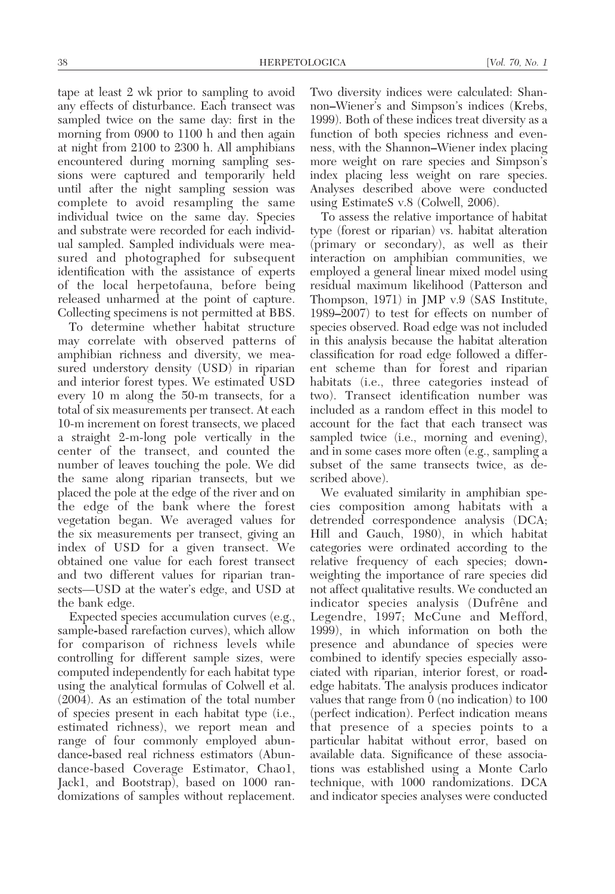tape at least 2 wk prior to sampling to avoid any effects of disturbance. Each transect was sampled twice on the same day: first in the morning from 0900 to 1100 h and then again at night from 2100 to 2300 h. All amphibians encountered during morning sampling sessions were captured and temporarily held until after the night sampling session was complete to avoid resampling the same individual twice on the same day. Species and substrate were recorded for each individual sampled. Sampled individuals were measured and photographed for subsequent identification with the assistance of experts of the local herpetofauna, before being released unharmed at the point of capture. Collecting specimens is not permitted at BBS.

To determine whether habitat structure may correlate with observed patterns of amphibian richness and diversity, we measured understory density (USD) in riparian and interior forest types. We estimated USD every 10 m along the 50-m transects, for a total of six measurements per transect. At each 10-m increment on forest transects, we placed a straight 2-m-long pole vertically in the center of the transect, and counted the number of leaves touching the pole. We did the same along riparian transects, but we placed the pole at the edge of the river and on the edge of the bank where the forest vegetation began. We averaged values for the six measurements per transect, giving an index of USD for a given transect. We obtained one value for each forest transect and two different values for riparian transects—USD at the water's edge, and USD at the bank edge.

Expected species accumulation curves (e.g., sample-based rarefaction curves), which allow for comparison of richness levels while controlling for different sample sizes, were computed independently for each habitat type using the analytical formulas of Colwell et al. (2004). As an estimation of the total number of species present in each habitat type (i.e., estimated richness), we report mean and range of four commonly employed abundance-based real richness estimators (Abundance-based Coverage Estimator, Chao1, Jack1, and Bootstrap), based on 1000 randomizations of samples without replacement.

Two diversity indices were calculated: Shannon–Wiener's and Simpson's indices (Krebs, 1999). Both of these indices treat diversity as a function of both species richness and evenness, with the Shannon–Wiener index placing more weight on rare species and Simpson's index placing less weight on rare species. Analyses described above were conducted using EstimateS v.8 (Colwell, 2006).

To assess the relative importance of habitat type (forest or riparian) vs. habitat alteration (primary or secondary), as well as their interaction on amphibian communities, we employed a general linear mixed model using residual maximum likelihood (Patterson and Thompson, 1971) in JMP v.9 (SAS Institute, 1989–2007) to test for effects on number of species observed. Road edge was not included in this analysis because the habitat alteration classification for road edge followed a different scheme than for forest and riparian habitats (i.e., three categories instead of two). Transect identification number was included as a random effect in this model to account for the fact that each transect was sampled twice (i.e., morning and evening), and in some cases more often (e.g., sampling a subset of the same transects twice, as described above).

We evaluated similarity in amphibian species composition among habitats with a detrended correspondence analysis (DCA; Hill and Gauch, 1980), in which habitat categories were ordinated according to the relative frequency of each species; downweighting the importance of rare species did not affect qualitative results. We conducted an indicator species analysis (Dufrêne and Legendre, 1997; McCune and Mefford, 1999), in which information on both the presence and abundance of species were combined to identify species especially associated with riparian, interior forest, or roadedge habitats. The analysis produces indicator values that range from 0 (no indication) to 100 (perfect indication). Perfect indication means that presence of a species points to a particular habitat without error, based on available data. Significance of these associations was established using a Monte Carlo technique, with 1000 randomizations. DCA and indicator species analyses were conducted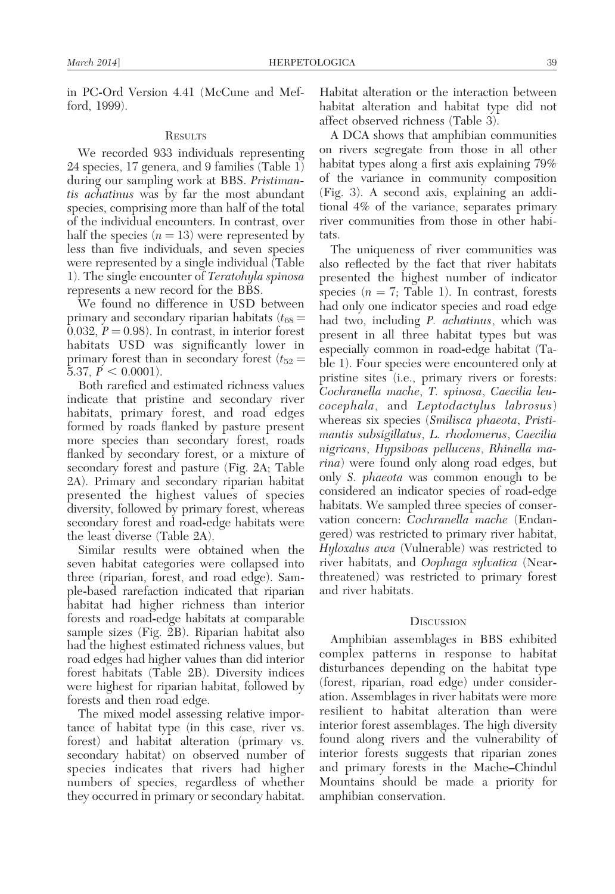in PC-Ord Version 4.41 (McCune and Mefford, 1999).

#### **RESULTS**

We recorded 933 individuals representing 24 species, 17 genera, and 9 families (Table 1) during our sampling work at BBS. Pristimantis achatinus was by far the most abundant species, comprising more than half of the total of the individual encounters. In contrast, over half the species  $(n = 13)$  were represented by less than five individuals, and seven species were represented by a single individual (Table 1). The single encounter of Teratohyla spinosa represents a new record for the BBS.

We found no difference in USD between primary and secondary riparian habitats  $(t_{68} =$ 0.032,  $P = 0.98$ ). In contrast, in interior forest habitats USD was significantly lower in primary forest than in secondary forest  $(t_{52} =$ 5.37,  $P < 0.0001$ ).

Both rarefied and estimated richness values indicate that pristine and secondary river habitats, primary forest, and road edges formed by roads flanked by pasture present more species than secondary forest, roads flanked by secondary forest, or a mixture of secondary forest and pasture (Fig. 2A; Table 2A). Primary and secondary riparian habitat presented the highest values of species diversity, followed by primary forest, whereas secondary forest and road-edge habitats were the least diverse (Table 2A).

Similar results were obtained when the seven habitat categories were collapsed into three (riparian, forest, and road edge). Sample-based rarefaction indicated that riparian habitat had higher richness than interior forests and road-edge habitats at comparable sample sizes (Fig. 2B). Riparian habitat also had the highest estimated richness values, but road edges had higher values than did interior forest habitats (Table 2B). Diversity indices were highest for riparian habitat, followed by forests and then road edge.

The mixed model assessing relative importance of habitat type (in this case, river vs. forest) and habitat alteration (primary vs. secondary habitat) on observed number of species indicates that rivers had higher numbers of species, regardless of whether they occurred in primary or secondary habitat. Habitat alteration or the interaction between habitat alteration and habitat type did not affect observed richness (Table 3).

A DCA shows that amphibian communities on rivers segregate from those in all other habitat types along a first axis explaining 79% of the variance in community composition (Fig. 3). A second axis, explaining an additional 4% of the variance, separates primary river communities from those in other habitats.

The uniqueness of river communities was also reflected by the fact that river habitats presented the highest number of indicator species  $(n = 7;$  Table 1). In contrast, forests had only one indicator species and road edge had two, including P. achatinus, which was present in all three habitat types but was especially common in road-edge habitat (Table 1). Four species were encountered only at pristine sites (i.e., primary rivers or forests: Cochranella mache, T. spinosa, Caecilia leucocephala, and Leptodactylus labrosus) whereas six species (Smilisca phaeota, Pristimantis subsigillatus, L. rhodomerus, Caecilia nigricans, Hypsiboas pellucens, Rhinella marina) were found only along road edges, but only S. phaeota was common enough to be considered an indicator species of road-edge habitats. We sampled three species of conservation concern: Cochranella mache (Endangered) was restricted to primary river habitat, Hyloxalus awa (Vulnerable) was restricted to river habitats, and *Oophaga sylvatica* (Nearthreatened) was restricted to primary forest and river habitats.

#### **DISCUSSION**

Amphibian assemblages in BBS exhibited complex patterns in response to habitat disturbances depending on the habitat type (forest, riparian, road edge) under consideration. Assemblages in river habitats were more resilient to habitat alteration than were interior forest assemblages. The high diversity found along rivers and the vulnerability of interior forests suggests that riparian zones and primary forests in the Mache–Chindul Mountains should be made a priority for amphibian conservation.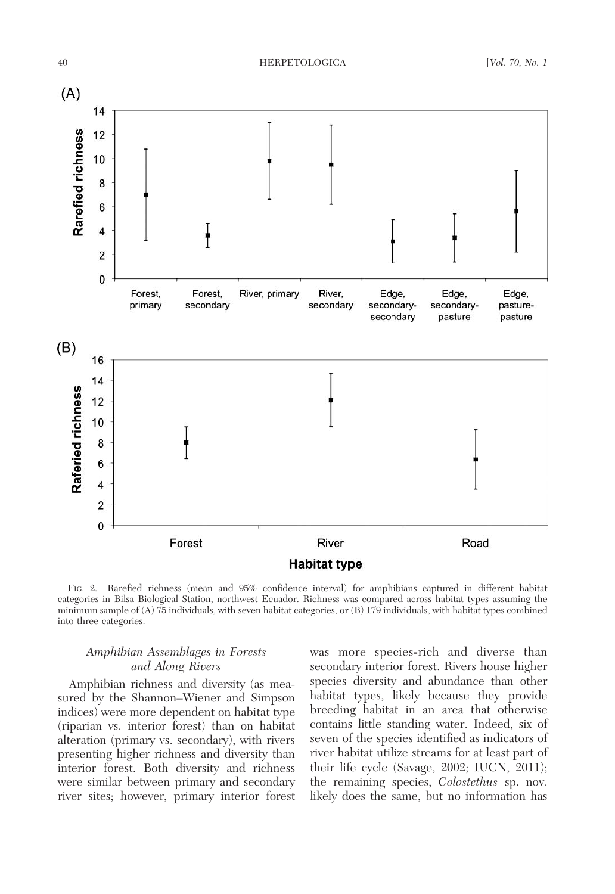

FIG. 2.—Rarefied richness (mean and 95% confidence interval) for amphibians captured in different habitat categories in Bilsa Biological Station, northwest Ecuador. Richness was compared across habitat types assuming the minimum sample of (A) 75 individuals, with seven habitat categories, or (B) 179 individuals, with habitat types combined into three categories.

## Amphibian Assemblages in Forests and Along Rivers

Amphibian richness and diversity (as measured by the Shannon–Wiener and Simpson indices) were more dependent on habitat type (riparian vs. interior forest) than on habitat alteration (primary vs. secondary), with rivers presenting higher richness and diversity than interior forest. Both diversity and richness were similar between primary and secondary river sites; however, primary interior forest was more species-rich and diverse than secondary interior forest. Rivers house higher species diversity and abundance than other habitat types, likely because they provide breeding habitat in an area that otherwise contains little standing water. Indeed, six of seven of the species identified as indicators of river habitat utilize streams for at least part of their life cycle (Savage, 2002; IUCN, 2011); the remaining species, Colostethus sp. nov. likely does the same, but no information has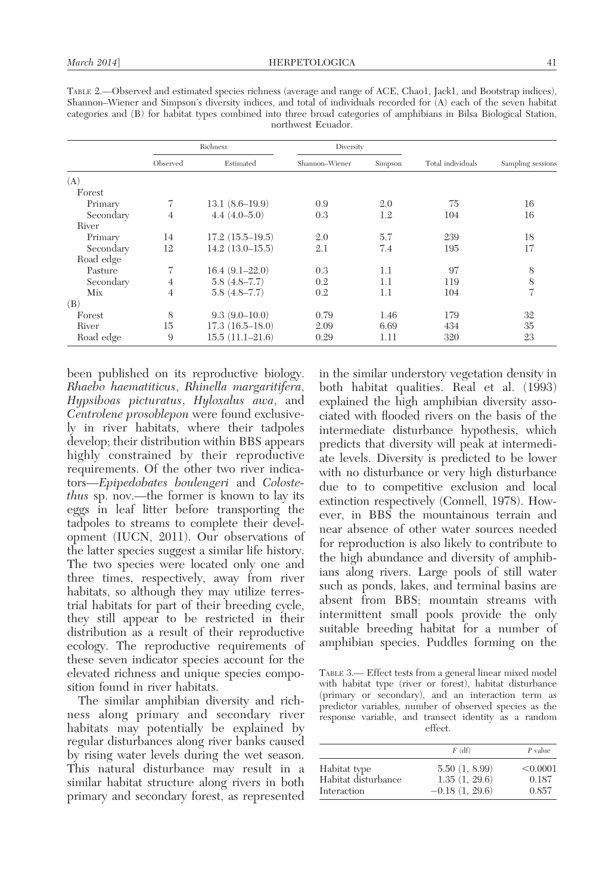|           | Richness       |                     | Diversity      |         |                   |                   |  |
|-----------|----------------|---------------------|----------------|---------|-------------------|-------------------|--|
|           | Observed       | Estimated           | Shannon-Wiener | Simpson | Total individuals | Sampling sessions |  |
| (A)       |                |                     |                |         |                   |                   |  |
| Forest    |                |                     |                |         |                   |                   |  |
| Primary   |                | $13.1(8.6-19.9)$    | 0.9            | 2.0     | 75                | 16                |  |
| Secondary | $\overline{4}$ | $4.4(4.0-5.0)$      | 0.3            | 1.2     | 104               | 16                |  |
| River     |                |                     |                |         |                   |                   |  |
| Primary   | 14             | $17.2(15.5-19.5)$   | 2.0            | 5.7     | 239               | 18                |  |
| Secondary | 12             | $14.2(13.0-15.5)$   | 2.1            | 7.4     | 195               | 17                |  |
| Road edge |                |                     |                |         |                   |                   |  |
| Pasture   | 7              | $16.4(9.1-22.0)$    | 0.3            | 1.1     | 97                | 8                 |  |
| Secondary | $\overline{4}$ | $5.8(4.8 - 7.7)$    | 0.2            | 1.1     | 119               | 8                 |  |
| Mix       | 4              | $5.8(4.8 - 7.7)$    | 0.2            | 1.1     | 104               | 7                 |  |
| (B)       |                |                     |                |         |                   |                   |  |
| Forest    | 8              | $9.3(9.0-10.0)$     | 0.79           | 1.46    | 179               | 32                |  |
| River     | 15             | $17.3(16.5-18.0)$   | 2.09           | 6.69    | 434               | 35                |  |
| Road edge | 9              | $15.5(11.1 - 21.6)$ | 0.29           | 1.11    | 320               | 23                |  |

TABLE 2.—Observed and estimated species richness (average and range of ACE, Chao1, Jack1, and Bootstrap indices), Shannon–Wiener and Simpson's diversity indices, and total of individuals recorded for (A) each of the seven habitat categories and (B) for habitat types combined into three broad categories of amphibians in Bilsa Biological Station, northwest Ecuador.

been published on its reproductive biology. Rhaebo haematiticus, Rhinella margaritifera, Hypsiboas picturatus, Hyloxalus awa, and Centrolene prosoblepon were found exclusively in river habitats, where their tadpoles develop; their distribution within BBS appears highly constrained by their reproductive requirements. Of the other two river indicators—Epipedobates boulengeri and Colostethus sp. nov.—the former is known to lay its eggs in leaf litter before transporting the tadpoles to streams to complete their development (IUCN, 2011). Our observations of the latter species suggest a similar life history. The two species were located only one and three times, respectively, away from river habitats, so although they may utilize terrestrial habitats for part of their breeding cycle, they still appear to be restricted in their distribution as a result of their reproductive ecology. The reproductive requirements of these seven indicator species account for the elevated richness and unique species composition found in river habitats.

The similar amphibian diversity and richness along primary and secondary river habitats may potentially be explained by regular disturbances along river banks caused by rising water levels during the wet season. This natural disturbance may result in a similar habitat structure along rivers in both primary and secondary forest, as represented

in the similar understory vegetation density in both habitat qualities. Real et al. (1993) explained the high amphibian diversity associated with flooded rivers on the basis of the intermediate disturbance hypothesis, which predicts that diversity will peak at intermediate levels. Diversity is predicted to be lower with no disturbance or very high disturbance due to to competitive exclusion and local extinction respectively (Connell, 1978). However, in BBS the mountainous terrain and near absence of other water sources needed for reproduction is also likely to contribute to the high abundance and diversity of amphibians along rivers. Large pools of still water such as ponds, lakes, and terminal basins are absent from BBS; mountain streams with intermittent small pools provide the only suitable breeding habitat for a number of amphibian species. Puddles forming on the

TABLE 3.— Effect tests from a general linear mixed model with habitat type (river or forest), habitat disturbance (primary or secondary), and an interaction term as predictor variables, number of observed species as the response variable, and transect identity as a random effect.

|                     | $F$ (df)         | $P$ value |  |  |
|---------------------|------------------|-----------|--|--|
| Habitat type        | 5.50(1, 8.99)    | < 0.0001  |  |  |
| Habitat disturbance | 1.35(1, 29.6)    | 0.187     |  |  |
| Interaction         | $-0.18(1, 29.6)$ | 0.857     |  |  |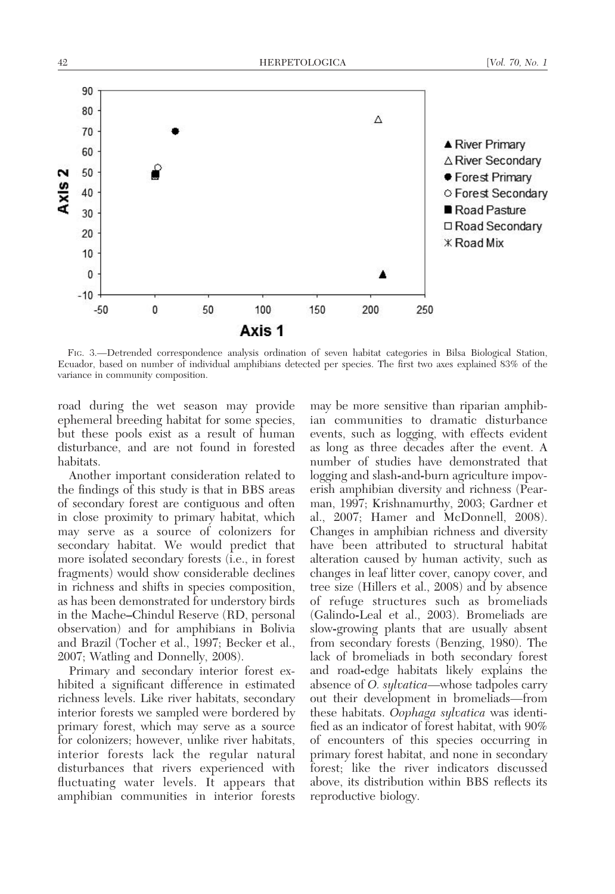

FIG. 3.—Detrended correspondence analysis ordination of seven habitat categories in Bilsa Biological Station, Ecuador, based on number of individual amphibians detected per species. The first two axes explained 83% of the variance in community composition.

road during the wet season may provide ephemeral breeding habitat for some species, but these pools exist as a result of human disturbance, and are not found in forested habitats.

Another important consideration related to the findings of this study is that in BBS areas of secondary forest are contiguous and often in close proximity to primary habitat, which may serve as a source of colonizers for secondary habitat. We would predict that more isolated secondary forests (i.e., in forest fragments) would show considerable declines in richness and shifts in species composition, as has been demonstrated for understory birds in the Mache–Chindul Reserve (RD, personal observation) and for amphibians in Bolivia and Brazil (Tocher et al., 1997; Becker et al., 2007; Watling and Donnelly, 2008).

Primary and secondary interior forest exhibited a significant difference in estimated richness levels. Like river habitats, secondary interior forests we sampled were bordered by primary forest, which may serve as a source for colonizers; however, unlike river habitats, interior forests lack the regular natural disturbances that rivers experienced with fluctuating water levels. It appears that amphibian communities in interior forests

may be more sensitive than riparian amphibian communities to dramatic disturbance events, such as logging, with effects evident as long as three decades after the event. A number of studies have demonstrated that logging and slash-and-burn agriculture impoverish amphibian diversity and richness (Pearman, 1997; Krishnamurthy, 2003; Gardner et al., 2007; Hamer and McDonnell, 2008). Changes in amphibian richness and diversity have been attributed to structural habitat alteration caused by human activity, such as changes in leaf litter cover, canopy cover, and tree size (Hillers et al., 2008) and by absence of refuge structures such as bromeliads (Galindo-Leal et al., 2003). Bromeliads are slow-growing plants that are usually absent from secondary forests (Benzing, 1980). The lack of bromeliads in both secondary forest and road-edge habitats likely explains the absence of O. sylvatica—whose tadpoles carry out their development in bromeliads—from these habitats. Oophaga sylvatica was identified as an indicator of forest habitat, with 90% of encounters of this species occurring in primary forest habitat, and none in secondary forest; like the river indicators discussed above, its distribution within BBS reflects its reproductive biology.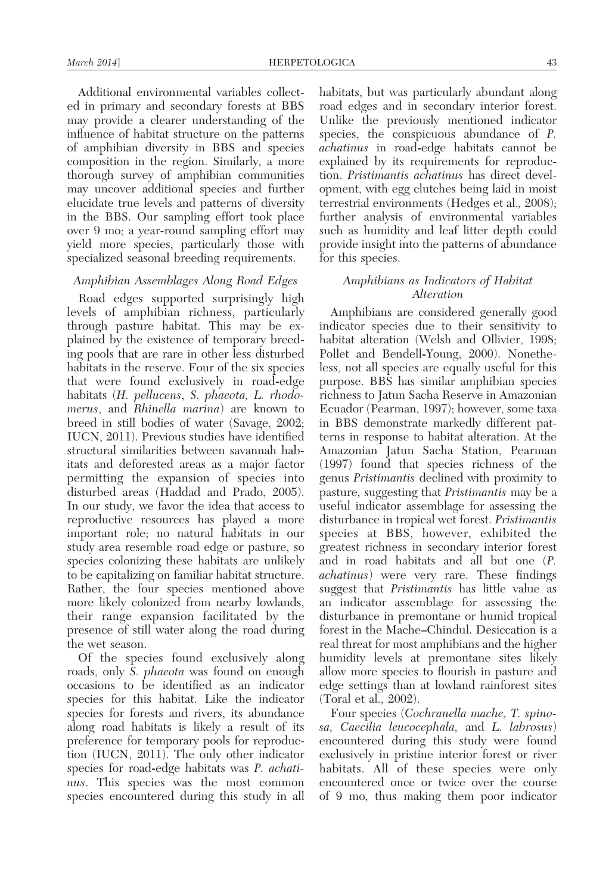Additional environmental variables collected in primary and secondary forests at BBS may provide a clearer understanding of the influence of habitat structure on the patterns of amphibian diversity in BBS and species composition in the region. Similarly, a more thorough survey of amphibian communities may uncover additional species and further elucidate true levels and patterns of diversity in the BBS. Our sampling effort took place over 9 mo; a year-round sampling effort may yield more species, particularly those with specialized seasonal breeding requirements.

## Amphibian Assemblages Along Road Edges

Road edges supported surprisingly high levels of amphibian richness, particularly through pasture habitat. This may be explained by the existence of temporary breeding pools that are rare in other less disturbed habitats in the reserve. Four of the six species that were found exclusively in road-edge habitats (H. pellucens, S. phaeota, L. rhodomerus, and Rhinella marina) are known to breed in still bodies of water (Savage, 2002; IUCN, 2011). Previous studies have identified structural similarities between savannah habitats and deforested areas as a major factor permitting the expansion of species into disturbed areas (Haddad and Prado, 2005). In our study, we favor the idea that access to reproductive resources has played a more important role; no natural habitats in our study area resemble road edge or pasture, so species colonizing these habitats are unlikely to be capitalizing on familiar habitat structure. Rather, the four species mentioned above more likely colonized from nearby lowlands, their range expansion facilitated by the presence of still water along the road during the wet season.

Of the species found exclusively along roads, only S. *phaeota* was found on enough occasions to be identified as an indicator species for this habitat. Like the indicator species for forests and rivers, its abundance along road habitats is likely a result of its preference for temporary pools for reproduction (IUCN, 2011). The only other indicator species for road-edge habitats was P. achatinus. This species was the most common species encountered during this study in all habitats, but was particularly abundant along road edges and in secondary interior forest. Unlike the previously mentioned indicator species, the conspicuous abundance of P. achatinus in road-edge habitats cannot be explained by its requirements for reproduction. Pristimantis achatinus has direct development, with egg clutches being laid in moist terrestrial environments (Hedges et al., 2008); further analysis of environmental variables such as humidity and leaf litter depth could provide insight into the patterns of abundance for this species.

## Amphibians as Indicators of Habitat Alteration

Amphibians are considered generally good indicator species due to their sensitivity to habitat alteration (Welsh and Ollivier, 1998; Pollet and Bendell-Young, 2000). Nonetheless, not all species are equally useful for this purpose. BBS has similar amphibian species richness to Jatun Sacha Reserve in Amazonian Ecuador (Pearman, 1997); however, some taxa in BBS demonstrate markedly different patterns in response to habitat alteration. At the Amazonian Jatun Sacha Station, Pearman (1997) found that species richness of the genus Pristimantis declined with proximity to pasture, suggesting that Pristimantis may be a useful indicator assemblage for assessing the disturbance in tropical wet forest. Pristimantis species at BBS, however, exhibited the greatest richness in secondary interior forest and in road habitats and all but one (P. achatinus) were very rare. These findings suggest that *Pristimantis* has little value as an indicator assemblage for assessing the disturbance in premontane or humid tropical forest in the Mache–Chindul. Desiccation is a real threat for most amphibians and the higher humidity levels at premontane sites likely allow more species to flourish in pasture and edge settings than at lowland rainforest sites (Toral et al., 2002).

Four species (Cochranella mache, T. spinosa, Caecilia leucocephala, and L. labrosus) encountered during this study were found exclusively in pristine interior forest or river habitats. All of these species were only encountered once or twice over the course of 9 mo, thus making them poor indicator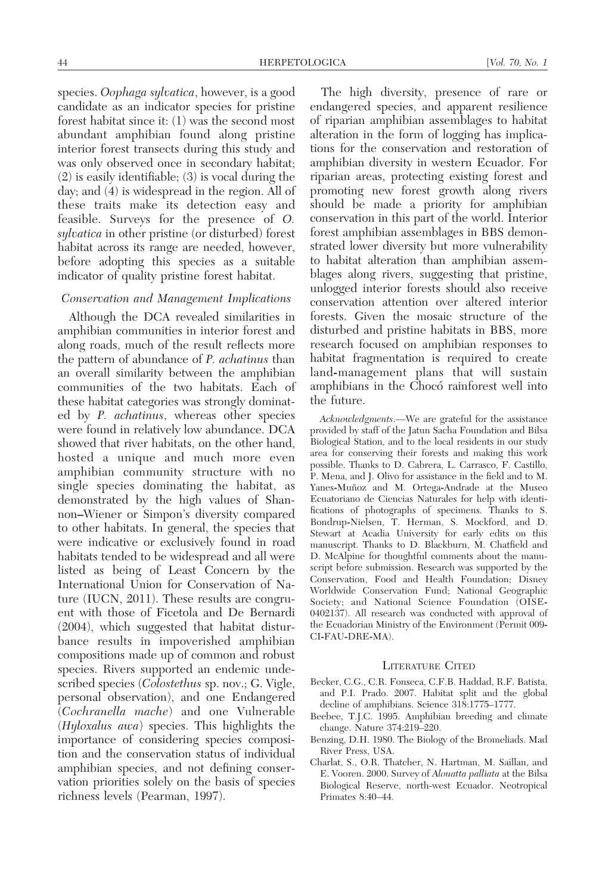species. Oophaga sylvatica, however, is a good candidate as an indicator species for pristine forest habitat since it: (1) was the second most abundant amphibian found along pristine interior forest transects during this study and was only observed once in secondary habitat; (2) is easily identifiable; (3) is vocal during the day; and (4) is widespread in the region. All of these traits make its detection easy and feasible. Surveys for the presence of O. sylvatica in other pristine (or disturbed) forest habitat across its range are needed, however, before adopting this species as a suitable indicator of quality pristine forest habitat.

## Conservation and Management Implications

Although the DCA revealed similarities in amphibian communities in interior forest and along roads, much of the result reflects more the pattern of abundance of P. achatinus than an overall similarity between the amphibian communities of the two habitats. Each of these habitat categories was strongly dominated by P. achatinus, whereas other species were found in relatively low abundance. DCA showed that river habitats, on the other hand, hosted a unique and much more even amphibian community structure with no single species dominating the habitat, as demonstrated by the high values of Shannon–Wiener or Simpon's diversity compared to other habitats. In general, the species that were indicative or exclusively found in road habitats tended to be widespread and all were listed as being of Least Concern by the International Union for Conservation of Nature (IUCN, 2011). These results are congruent with those of Ficetola and De Bernardi (2004), which suggested that habitat disturbance results in impoverished amphibian compositions made up of common and robust species. Rivers supported an endemic undescribed species (Colostethus sp. nov.; G. Vigle, personal observation), and one Endangered (Cochranella mache) and one Vulnerable (Hyloxalus awa) species. This highlights the importance of considering species composition and the conservation status of individual amphibian species, and not defining conservation priorities solely on the basis of species richness levels (Pearman, 1997).

The high diversity, presence of rare or endangered species, and apparent resilience of riparian amphibian assemblages to habitat alteration in the form of logging has implications for the conservation and restoration of amphibian diversity in western Ecuador. For riparian areas, protecting existing forest and promoting new forest growth along rivers should be made a priority for amphibian conservation in this part of the world. Interior forest amphibian assemblages in BBS demonstrated lower diversity but more vulnerability to habitat alteration than amphibian assemblages along rivers, suggesting that pristine, unlogged interior forests should also receive conservation attention over altered interior forests. Given the mosaic structure of the disturbed and pristine habitats in BBS, more research focused on amphibian responses to habitat fragmentation is required to create land-management plans that will sustain amphibians in the Chocó rainforest well into the future.

Acknowledgments.—We are grateful for the assistance provided by staff of the Jatun Sacha Foundation and Bilsa Biological Station, and to the local residents in our study area for conserving their forests and making this work possible. Thanks to D. Cabrera, L. Carrasco, F. Castillo, P. Mena, and J. Olivo for assistance in the field and to M. Yanes-Muñoz and M. Ortega-Andrade at the Museo Ecuatoriano de Ciencias Naturales for help with identifications of photographs of specimens. Thanks to S. Bondrup-Nielsen, T. Herman, S. Mockford, and D. Stewart at Acadia University for early edits on this manuscript. Thanks to D. Blackburn, M. Chatfield and D. McAlpine for thoughtful comments about the manuscript before submission. Research was supported by the Conservation, Food and Health Foundation; Disney Worldwide Conservation Fund; National Geographic Society; and National Science Foundation (OISE-0402137). All research was conducted with approval of the Ecuadorian Ministry of the Environment (Permit 009- CI-FAU-DRE-MA).

#### LITERATURE CITED

- Becker, C.G., C.R. Fonseca, C.F.B. Haddad, R.F. Batista, and P.I. Prado. 2007. Habitat split and the global decline of amphibians. Science 318:1775–1777.
- Beebee, T.J.C. 1995. Amphibian breeding and climate change. Nature 374:219–220.
- Benzing, D.H. 1980. The Biology of the Bromeliads. Mad River Press, USA.
- Charlat, S., O.R. Thatcher, N. Hartman, M. Saillan, and E. Vooren. 2000. Survey of Alouatta palliata at the Bilsa Biological Reserve, north-west Ecuador. Neotropical Primates 8:40–44.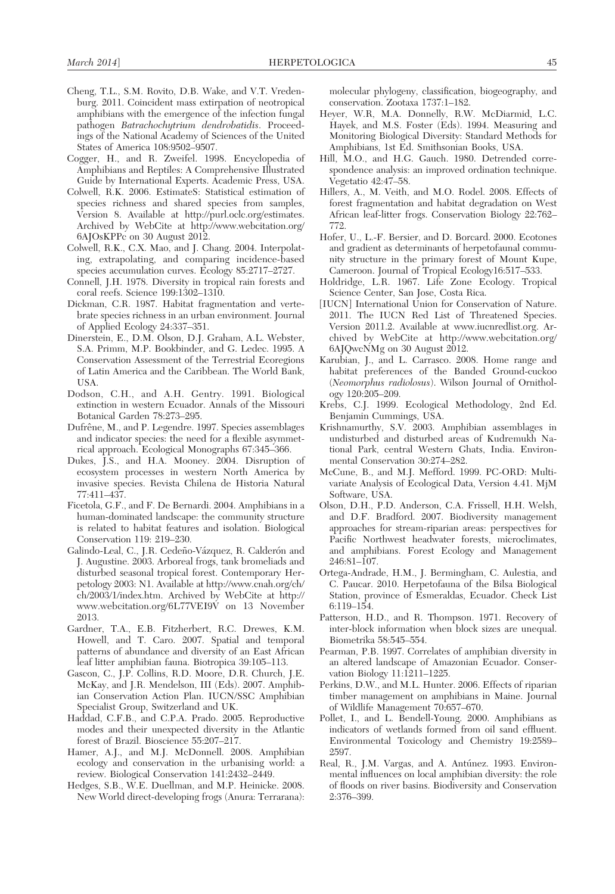- Cheng, T.L., S.M. Rovito, D.B. Wake, and V.T. Vredenburg. 2011. Coincident mass extirpation of neotropical amphibians with the emergence of the infection fungal pathogen Batrachochytrium dendrobatidis. Proceedings of the National Academy of Sciences of the United States of America 108:9502–9507.
- Cogger, H., and R. Zweifel. 1998. Encyclopedia of Amphibians and Reptiles: A Comprehensive Illustrated Guide by International Experts. Academic Press, USA.
- Colwell, R.K. 2006. EstimateS: Statistical estimation of species richness and shared species from samples, Version 8. Available at http://purl.oclc.org/estimates. Archived by WebCite at http://www.webcitation.org/ 6AJOsKPPc on 30 August 2012.
- Colwell, R.K., C.X. Mao, and J. Chang. 2004. Interpolating, extrapolating, and comparing incidence-based species accumulation curves. Ecology 85:2717–2727.
- Connell, J.H. 1978. Diversity in tropical rain forests and coral reefs. Science 199:1302–1310.
- Dickman, C.R. 1987. Habitat fragmentation and vertebrate species richness in an urban environment. Journal of Applied Ecology 24:337–351.
- Dinerstein, E., D.M. Olson, D.J. Graham, A.L. Webster, S.A. Primm, M.P. Bookbinder, and G. Ledec. 1995. A Conservation Assessment of the Terrestrial Ecoregions of Latin America and the Caribbean. The World Bank, USA.
- Dodson, C.H., and A.H. Gentry. 1991. Biological extinction in western Ecuador. Annals of the Missouri Botanical Garden 78:273–295.
- Dufrêne, M., and P. Legendre. 1997. Species assemblages and indicator species: the need for a flexible asymmetrical approach. Ecological Monographs 67:345–366.
- Dukes, J.S., and H.A. Mooney. 2004. Disruption of ecosystem processes in western North America by invasive species. Revista Chilena de Historia Natural 77:411–437.
- Ficetola, G.F., and F. De Bernardi. 2004. Amphibians in a human-dominated landscape: the community structure is related to habitat features and isolation. Biological Conservation 119: 219–230.
- Galindo-Leal, C., J.R. Cedeño-Vázquez, R. Calderón and J. Augustine. 2003. Arboreal frogs, tank bromeliads and disturbed seasonal tropical forest. Contemporary Herpetology 2003: N1. Available at http://www.cnah.org/ch/ ch/2003/1/index.htm. Archived by WebCite at http:// www.webcitation.org/6L77VEI9V on 13 November 2013.
- Gardner, T.A., E.B. Fitzherbert, R.C. Drewes, K.M. Howell, and T. Caro. 2007. Spatial and temporal patterns of abundance and diversity of an East African leaf litter amphibian fauna. Biotropica 39:105–113.
- Gascon, C., J.P. Collins, R.D. Moore, D.R. Church, J.E. McKay, and J.R. Mendelson, III (Eds). 2007. Amphibian Conservation Action Plan. IUCN/SSC Amphibian Specialist Group, Switzerland and UK.
- Haddad, C.F.B., and C.P.A. Prado. 2005. Reproductive modes and their unexpected diversity in the Atlantic forest of Brazil. Bioscience 55:207–217.
- Hamer, A.J., and M.J. McDonnell. 2008. Amphibian ecology and conservation in the urbanising world: a review. Biological Conservation 141:2432–2449.
- Hedges, S.B., W.E. Duellman, and M.P. Heinicke. 2008. New World direct-developing frogs (Anura: Terrarana):

molecular phylogeny, classification, biogeography, and conservation. Zootaxa 1737:1–182.

- Heyer, W.R, M.A. Donnelly, R.W. McDiarmid, L.C. Hayek, and M.S. Foster (Eds). 1994. Measuring and Monitoring Biological Diversity: Standard Methods for Amphibians, 1st Ed. Smithsonian Books, USA.
- Hill, M.O., and H.G. Gauch. 1980. Detrended correspondence analysis: an improved ordination technique. Vegetatio 42:47–58.
- Hillers, A., M. Veith, and M.O. Rodel. 2008. Effects of forest fragmentation and habitat degradation on West African leaf-litter frogs. Conservation Biology 22:762– 772.
- Hofer, U., L.-F. Bersier, and D. Borcard. 2000. Ecotones and gradient as determinants of herpetofaunal community structure in the primary forest of Mount Kupe, Cameroon. Journal of Tropical Ecology16:517–533.
- Holdridge, L.R. 1967. Life Zone Ecology. Tropical Science Center, San Jose, Costa Rica.
- [IUCN] International Union for Conservation of Nature. 2011. The IUCN Red List of Threatened Species. Version 2011.2. Available at www.iucnredlist.org. Archived by WebCite at http://www.webcitation.org/ 6AJQwcNMg on 30 August 2012.
- Karubian, J., and L. Carrasco. 2008. Home range and habitat preferences of the Banded Ground-cuckoo (Neomorphus radiolosus). Wilson Journal of Ornithology 120:205–209.
- Krebs, C.J. 1999. Ecological Methodology, 2nd Ed. Benjamin Cummings, USA.
- Krishnamurthy, S.V. 2003. Amphibian assemblages in undisturbed and disturbed areas of Kudremukh National Park, central Western Ghats, India. Environmental Conservation 30:274–282.
- McCune, B., and M.J. Mefford. 1999. PC-ORD: Multivariate Analysis of Ecological Data, Version 4.41. MjM Software, USA.
- Olson, D.H., P.D. Anderson, C.A. Frissell, H.H. Welsh, and D.F. Bradford. 2007. Biodiversity management approaches for stream-riparian areas: perspectives for Pacific Northwest headwater forests, microclimates, and amphibians. Forest Ecology and Management 246:81–107.
- Ortega-Andrade, H.M., J. Bermingham, C. Aulestia, and C. Paucar. 2010. Herpetofauna of the Bilsa Biological Station, province of Esmeraldas, Ecuador. Check List 6:119–154.
- Patterson, H.D., and R. Thompson. 1971. Recovery of inter-block information when block sizes are unequal. Biometrika 58:545–554.
- Pearman, P.B. 1997. Correlates of amphibian diversity in an altered landscape of Amazonian Ecuador. Conservation Biology 11:1211–1225.
- Perkins, D.W., and M.L. Hunter. 2006. Effects of riparian timber management on amphibians in Maine. Journal of Wildlife Management 70:657–670.
- Pollet, I., and L. Bendell-Young. 2000. Amphibians as indicators of wetlands formed from oil sand effluent. Environmental Toxicology and Chemistry 19:2589– 2597.
- Real, R., J.M. Vargas, and A. Antúnez. 1993. Environmental influences on local amphibian diversity: the role of floods on river basins. Biodiversity and Conservation 2:376–399.